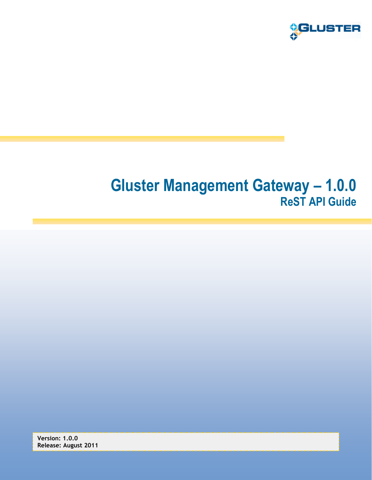

# **Gluster Management Gateway – 1.0.0 ReST API Guide**

**Version: 1.0.0 Release: August 2011**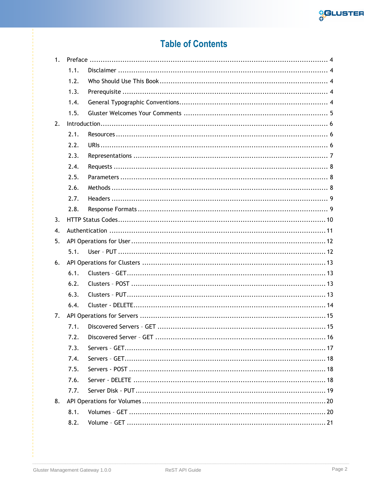

# **Table of Contents**

| 1. |      |  |  |
|----|------|--|--|
|    | 1.1. |  |  |
|    | 1.2. |  |  |
|    | 1.3. |  |  |
|    | 1.4. |  |  |
|    | 1.5. |  |  |
| 2. |      |  |  |
|    | 2.1. |  |  |
|    | 2.2. |  |  |
|    | 2.3. |  |  |
|    | 2.4. |  |  |
|    | 2.5. |  |  |
|    | 2.6. |  |  |
|    | 2.7. |  |  |
|    | 2.8. |  |  |
| 3. |      |  |  |
| 4. |      |  |  |
| 5. |      |  |  |
|    | 5.1. |  |  |
| 6. |      |  |  |
|    | 6.1. |  |  |
|    | 6.2. |  |  |
|    | 6.3. |  |  |
|    | 6.4. |  |  |
| 7. |      |  |  |
|    |      |  |  |
|    | 7.2. |  |  |
|    | 7.3. |  |  |
|    | 7.4. |  |  |
|    | 7.5. |  |  |
|    | 7.6. |  |  |
|    | 7.7. |  |  |
| 8. |      |  |  |
|    | 8.1. |  |  |
|    | 8.2. |  |  |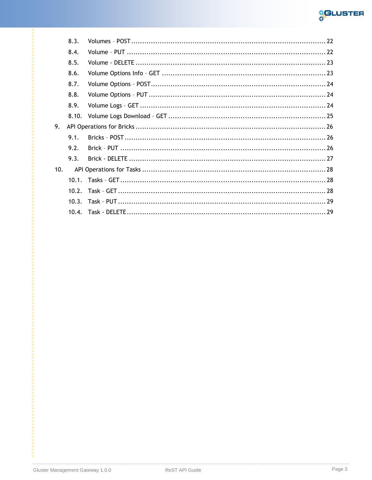

|     | 8.3. |  |
|-----|------|--|
|     | 8.4. |  |
|     | 8.5. |  |
|     | 8.6. |  |
|     | 8.7. |  |
|     | 8.8. |  |
|     | 8.9. |  |
|     |      |  |
| 9.  |      |  |
|     | 9.1. |  |
|     | 9.2. |  |
|     | 9.3. |  |
| 10. |      |  |
|     |      |  |
|     | 10.2 |  |
|     |      |  |
|     |      |  |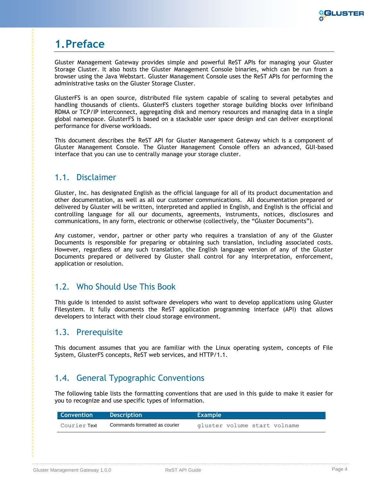

# <span id="page-3-0"></span>**1.Preface**

Gluster Management Gateway provides simple and powerful ReST APIs for managing your Gluster Storage Cluster. It also hosts the Gluster Management Console binaries, which can be run from a browser using the Java Webstart. Gluster Management Console uses the ReST APIs for performing the administrative tasks on the Gluster Storage Cluster.

GlusterFS is an open source, distributed file system capable of scaling to several petabytes and handling thousands of clients. GlusterFS clusters together storage building blocks over Infiniband RDMA or TCP/IP interconnect, aggregating disk and memory resources and managing data in a single global namespace. GlusterFS is based on a stackable user space design and can deliver exceptional performance for diverse workloads.

This document describes the ReST API for Gluster Management Gateway which is a component of Gluster Management Console. The Gluster Management Console offers an advanced, GUI-based interface that you can use to centrally manage your storage cluster.

# <span id="page-3-1"></span>1.1. Disclaimer

Gluster, Inc. has designated English as the official language for all of its product documentation and other documentation, as well as all our customer communications. All documentation prepared or delivered by Gluster will be written, interpreted and applied in English, and English is the official and controlling language for all our documents, agreements, instruments, notices, disclosures and communications, in any form, electronic or otherwise (collectively, the "Gluster Documents").

Any customer, vendor, partner or other party who requires a translation of any of the Gluster Documents is responsible for preparing or obtaining such translation, including associated costs. However, regardless of any such translation, the English language version of any of the Gluster Documents prepared or delivered by Gluster shall control for any interpretation, enforcement, application or resolution.

# <span id="page-3-2"></span>1.2. Who Should Use This Book

This guide is intended to assist software developers who want to develop applications using Gluster Filesystem. It fully documents the ReST application programming interface (API) that allows developers to interact with their cloud storage environment.

## <span id="page-3-3"></span>1.3. Prerequisite

This document assumes that you are familiar with the Linux operating system, concepts of File System, GlusterFS concepts, ReST web services, and HTTP/1.1.

# <span id="page-3-4"></span>1.4. General Typographic Conventions

The following table lists the formatting conventions that are used in this guide to make it easier for you to recognize and use specific types of information.

| <b>Convention</b>   | Description                   | <b>Example</b>               |
|---------------------|-------------------------------|------------------------------|
| Courier <b>Text</b> | Commands formatted as courier | gluster volume start volname |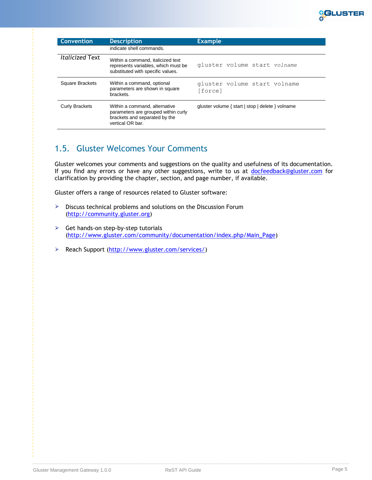

| <b>Convention</b>      | <b>Description</b>                                                                                                        | <b>Example</b>                                   |
|------------------------|---------------------------------------------------------------------------------------------------------------------------|--------------------------------------------------|
|                        | indicate shell commands.                                                                                                  |                                                  |
| <b>Italicized Text</b> | Within a command, italicized text<br>represents variables, which must be<br>substituted with specific values.             | gluster volume start volname                     |
| Square Brackets        | Within a command, optional<br>parameters are shown in square<br>brackets.                                                 | gluster volume start volname<br>[force]          |
| <b>Curly Brackets</b>  | Within a command, alternative<br>parameters are grouped within curly<br>brackets and separated by the<br>vertical OR bar. | gluster volume { start   stop   delete } volname |

# <span id="page-4-0"></span>1.5. Gluster Welcomes Your Comments

Gluster welcomes your comments and suggestions on the quality and usefulness of its documentation. If you find any errors or have any other suggestions, write to us at [docfeedback@gluster.com](mailto:docfeedback@gluster.com) for clarification by providing the chapter, section, and page number, if available.

Gluster offers a range of resources related to Gluster software:

- > Discuss technical problems and solutions on the Discussion Forum [\(http://community.gluster.org\)](http://community.gluster.org/)
- $\triangleright$  Get hands-on step-by-step tutorials [\(http://www.gluster.com/community/documentation/index.php/Main\\_Page\)](http://www.gluster.com/community/documentation/index.php/Main_Page)
- P Reach Support [\(http://www.gluster.com/services/\)](http://www.gluster.com/services/)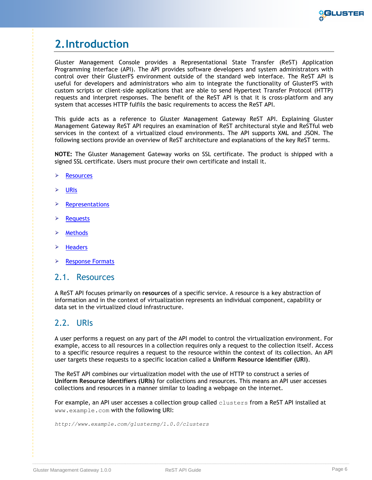

# <span id="page-5-0"></span>**2.Introduction**

Gluster Management Console provides a Representational State Transfer (ReST) Application Programming Interface (API). The API provides software developers and system administrators with control over their GlusterFS environment outside of the standard web interface. The ReST API is useful for developers and administrators who aim to integrate the functionality of GlusterFS with custom scripts or client-side applications that are able to send Hypertext Transfer Protocol (HTTP) requests and interpret responses. The benefit of the ReST API is that it is cross-platform and any system that accesses HTTP fulfils the basic requirements to access the ReST API.

This guide acts as a reference to Gluster Management Gateway ReST API. Explaining Gluster Management Gateway ReST API requires an examination of ReST architectural style and ReSTful web services in the context of a virtualized cloud environments. The API supports XML and JSON. The following sections provide an overview of ReST architecture and explanations of the key ReST terms.

**NOTE:** The Gluster Management Gateway works on SSL certificate. The product is shipped with a signed SSL certificate. Users must procure their own certificate and install it.

- $\blacktriangleright$ **[Resources](#page-5-1)**
- ⋗ [URIs](#page-5-2)
- ⋗ **[Representations](#page-6-0)**
- ⋗ [Requests](#page-7-0)
- **[Methods](#page-7-1)**
- ⋗ **[Headers](#page-8-0)**
- [Response Formats](#page-8-1) ⋗

### <span id="page-5-1"></span>2.1. Resources

A ReST API focuses primarily on **resources** of a specific service. A resource is a key abstraction of information and in the context of virtualization represents an individual component, capability or data set in the virtualized cloud infrastructure.

## <span id="page-5-2"></span>2.2. URIs

A user performs a request on any part of the API model to control the virtualization environment. For example, access to all resources in a collection requires only a request to the collection itself. Access to a specific resource requires a request to the resource within the context of its collection. An API user targets these requests to a specific location called a **Uniform Resource Identifier (URI)**.

The ReST API combines our virtualization model with the use of HTTP to construct a series of **Uniform Resource Identifiers (URIs)** for collections and resources. This means an API user accesses collections and resources in a manner similar to loading a webpage on the internet.

For example, an API user accesses a collection group called clusters from a ReST API installed at www.example.com with the following URI:

*http://www.example.com/glustermg/1.0.0/clusters*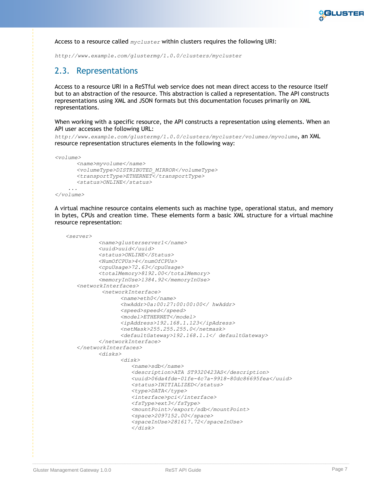

Access to a resource called *mycluster* within clusters requires the following URI:

<span id="page-6-0"></span>*http://www.example.com/glustermg/1.0.0/clusters/mycluster*

## 2.3. Representations

Access to a resource URI in a ReSTful web service does not mean direct access to the resource itself but to an abstraction of the resource. This abstraction is called a representation. The API constructs representations using XML and JSON formats but this documentation focuses primarily on XML representations.

When working with a specific resource, the API constructs a representation using elements. When an API user accesses the following URL:

*[http://www.example.com/glustermg/1.0.0/clusters/mycluster/volumes/myvolume](http://www.example.com/glustermg/1.0/clusters/mycluster/volumes/myvolume)*, an XML resource representation structures elements in the following way:

*<volume>*

```
 <name>myvolume</name>
   <volumeType>DISTRIBUTED_MIRROR</volumeType>
  <transportType>ETHERNET</transportType>
   <status>ONLINE</status>
 ...
```

```
</volume>
```
A virtual machine resource contains elements such as machine type, operational status, and memory in bytes, CPUs and creation time. These elements form a basic XML structure for a virtual machine resource representation:

```
<server>
          <name>glusterserver1</name>
          <uuid>uuid</uuid>
          <status>ONLINE</Status>
          <NumOfCPUs>4</numOfCPUs>
          <cpuUsage>72.63</cpuUsage>
          <totalMemory>8192.00</totalMemory>
          <memoryInUse>1384.92</memoryInUse>
    <networkInterfaces>
            <networkInterface>
                <name>eth0</name>
                 <hwAddr>0a:00:27:00:00:00</ hwAddr>
                <speed>speed</speed>
                 <model>ETHERNET</model>
                 <ipAddress>192.168.1.123</ipAdress>
                 <netMask>255.255.255.0</netmask>
                 <defaultGateway>192.168.1.1</ defaultGateway>
          </networkInterface>
   </networkInterfaces>
          <disks>
                 <disk>
                    <name>sdb</name>
                    <description>ATA ST9320423AS</description>
                    <uuid>06da4fde-01fe-4c7a-9918-80dc86695fea</uuid>
                    <status>INITIALIZED</status>
                    <type>DATA</type>
                    <interface>pci</interface>
                    <fsType>ext3</fsType>
                    <mountPoint>/export/sdb</mountPoint>
                    <space>2097152.00</space>
                    <spaceInUse>281617.72</spaceInUse>
                    </disk>
```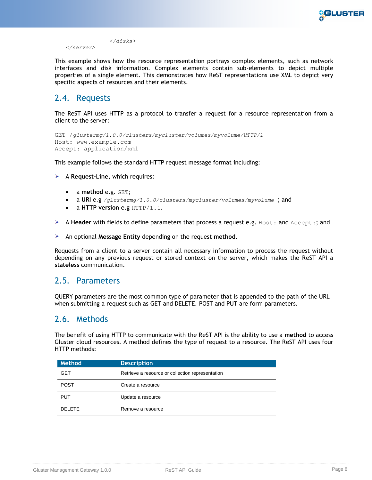

*</disks> </server>*

This example shows how the resource representation portrays complex elements, such as network interfaces and disk information. Complex elements contain sub-elements to depict multiple properties of a single element. This demonstrates how ReST representations use XML to depict very specific aspects of resources and their elements.

# <span id="page-7-0"></span>2.4. Requests

The ReST API uses HTTP as a protocol to transfer a request for a resource representation from a client to the server:

```
GET /glustermg/1.0.0/clusters/mycluster/volumes/myvolume/HTTP/1
Host: www.example.com
Accept: application/xml
```
This example follows the standard HTTP request message format including:

A **Request-Line**, which requires:

- a **method** e.g. GET;
- a **URI** e.g */glustermg/1.0.0/clusters/mycluster/volumes/myvolume* ; and
- a **HTTP version** e.g HTTP/1.1.
- A **Header** with fields to define parameters that process a request e.g. Host: and Accept:; and
- An optional **Message Entity** depending on the request **method**.

Requests from a client to a server contain all necessary information to process the request without depending on any previous request or stored context on the server, which makes the ReST API a **stateless** communication.

### <span id="page-7-1"></span>2.5. Parameters

QUERY parameters are the most common type of parameter that is appended to the path of the URL when submitting a request such as GET and DELETE. POST and PUT are form parameters.

## <span id="page-7-2"></span>2.6. Methods

The benefit of using HTTP to communicate with the ReST API is the ability to use a **method** to access Gluster cloud resources. A method defines the type of request to a resource. The ReST API uses four HTTP methods:

| Method        | <b>Description</b>                               |
|---------------|--------------------------------------------------|
| <b>GET</b>    | Retrieve a resource or collection representation |
| <b>POST</b>   | Create a resource                                |
| <b>PUT</b>    | Update a resource                                |
| <b>DELETE</b> | Remove a resource                                |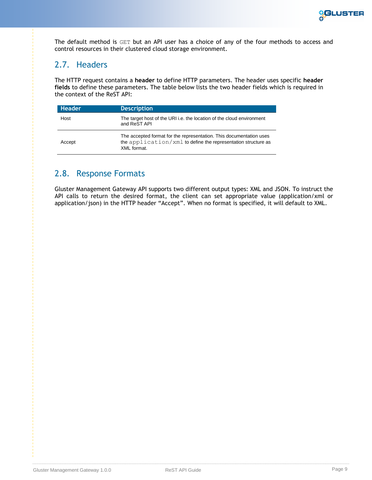

The default method is GET but an API user has a choice of any of the four methods to access and control resources in their clustered cloud storage environment.

# <span id="page-8-0"></span>2.7. Headers

The HTTP request contains a **header** to define HTTP parameters. The header uses specific **header fields** to define these parameters. The table below lists the two header fields which is required in the context of the ReST API:

| <b>Header</b> | <b>Description</b>                                                                                                                                  |
|---------------|-----------------------------------------------------------------------------------------------------------------------------------------------------|
| Host          | The target host of the URI i.e. the location of the cloud environment<br>and ReST API                                                               |
| Accept        | The accepted format for the representation. This documentation uses<br>the application/xml to define the representation structure as<br>XML format. |

## <span id="page-8-1"></span>2.8. Response Formats

Gluster Management Gateway API supports two different output types: XML and JSON. To instruct the API calls to return the desired format, the client can set appropriate value (application/xml or application/json) in the HTTP header "Accept". When no format is specified, it will default to XML.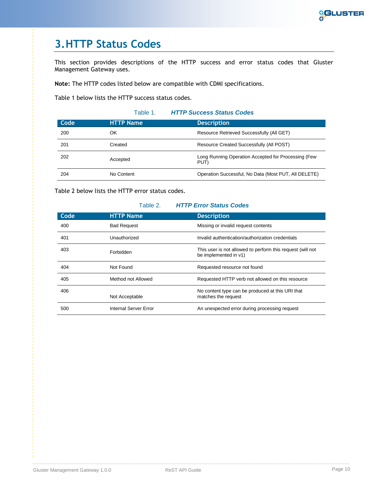

# <span id="page-9-0"></span>**3.HTTP Status Codes**

This section provides descriptions of the HTTP success and error status codes that Gluster Management Gateway uses.

**Note:** The HTTP codes listed below are compatible with CDMI specifications.

[Table 1](#page-9-1) below lists the HTTP success status codes.

<span id="page-9-1"></span>

|      | Table 1.         | <b>HTTP Success Status Codes</b>                            |
|------|------------------|-------------------------------------------------------------|
| Code | <b>HTTP Name</b> | <b>Description</b>                                          |
| 200  | OK               | Resource Retrieved Successfully (All GET)                   |
| 201  | Created          | Resource Created Successfully (All POST)                    |
| 202  | Accepted         | Long Running Operation Accepted for Processing (Few<br>PUT) |
| 204  | No Content       | Operation Successful, No Data (Most PUT, All DELETE)        |

[Table 2](#page-9-2) below lists the HTTP error status codes.

### Table 2. *HTTP Error Status Codes*

<span id="page-9-2"></span>

| Code | <b>HTTP Name</b>      | <b>Description</b>                                                                  |
|------|-----------------------|-------------------------------------------------------------------------------------|
| 400  | <b>Bad Request</b>    | Missing or invalid request contents                                                 |
| 401  | Unauthorized          | Invalid authentication/authorization credentials                                    |
| 403  | Forbidden             | This user is not allowed to perform this request (will not<br>be implemented in v1) |
| 404  | Not Found             | Requested resource not found                                                        |
| 405  | Method not Allowed    | Requested HTTP verb not allowed on this resource                                    |
| 406  | Not Acceptable        | No content type can be produced at this URI that<br>matches the request             |
| 500  | Internal Server Error | An unexpected error during processing request                                       |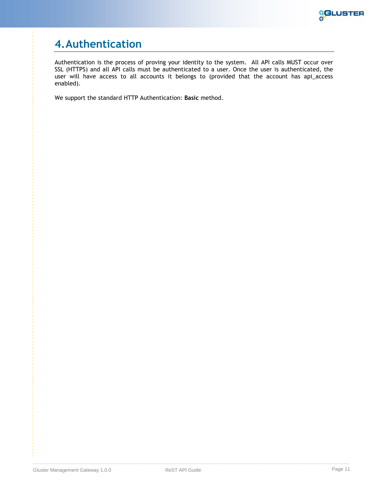

# <span id="page-10-0"></span>**4.Authentication**

Authentication is the process of proving your identity to the system. All API calls MUST occur over SSL (HTTPS) and all API calls must be authenticated to a user. Once the user is authenticated, the user will have access to all accounts it belongs to (provided that the account has api\_access enabled).

We support the standard HTTP Authentication: **Basic** method.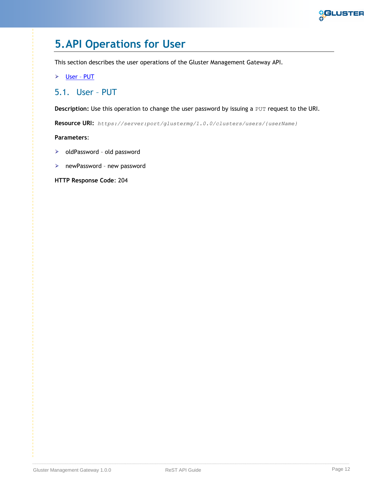

# <span id="page-11-0"></span>**5.API Operations for User**

This section describes the user operations of the Gluster Management Gateway API.

[User](#page-11-1) – PUT

# <span id="page-11-1"></span>5.1. User – PUT

**Description:** Use this operation to change the user password by issuing a PUT request to the URI.

**Resource URI:** *https://server:port/glustermg/1.0.0/clusters/users/{userName}*

**Parameters**:

- ▶ oldPassword old password
- newPassword new password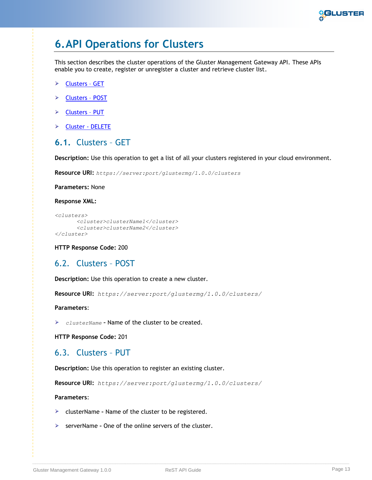

# <span id="page-12-0"></span>**6.API Operations for Clusters**

This section describes the cluster operations of the Gluster Management Gateway API. These APIs enable you to create, register or unregister a cluster and retrieve cluster list.

- [Clusters](#page-12-1)  GET
- [Clusters](#page-12-2) POST
- [Clusters](#page-12-3)  PUT
- [Cluster -](#page-13-0) DELETE

### <span id="page-12-1"></span>**6.1.** Clusters – GET

**Description:** Use this operation to get a list of all your clusters registered in your cloud environment.

**Resource URI:** *https://server:port/glustermg/1.0.0/clusters*

**Parameters:** None

**Response XML:**

```
<clusters>
      <cluster>clusterName1</cluster>
      <cluster>clusterName2</cluster>
</cluster>
```
**HTTP Response Code:** 200

### <span id="page-12-2"></span>6.2. Clusters – POST

**Description:** Use this operation to create a new cluster.

**Resource URI:** *https://server:port/glustermg/1.0.0/clusters/*

**Parameters**:

*clusterName* **–** Name of the cluster to be created.

**HTTP Response Code:** 201

## <span id="page-12-3"></span>6.3. Clusters – PUT

**Description:** Use this operation to register an existing cluster.

**Resource URI:** *https://server:port/glustermg/1.0.0/clusters/*

### **Parameters**:

- clusterName **–** Name of the cluster to be registered.
- serverName **–** One of the online servers of the cluster.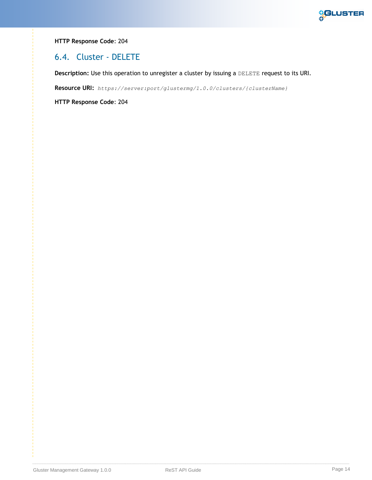

### **HTTP Response Code**: 204

## <span id="page-13-0"></span>6.4. Cluster - DELETE

**Description:** Use this operation to unregister a cluster by issuing a DELETE request to its URI.

**Resource URI:** *https://server:port/glustermg/1.0.0/clusters/{clusterName}*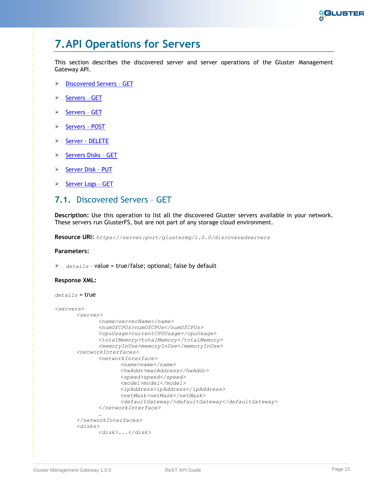

# <span id="page-14-0"></span>**7.API Operations for Servers**

This section describes the discovered server and server operations of the Gluster Management Gateway API.

- [Discovered Servers](#page-14-1)  GET ⋗
- [Servers](#page-15-1)  GET ⋗
- [Servers](#page-17-0)  GET ⋗
- [Servers](#page-17-1) POST ⋗
- ⋗ [Server -](#page-17-2) DELETE
- [Servers Disks](#page-18-1)  GET ⋗
- ⋗ [Server Disk -](#page-18-0) PUT
- [Server Logs](#page-18-2)  GET ⋗

## <span id="page-14-1"></span>**7.1.** Discovered Servers – GET

**Description:** Use this operation to list all the discovered Gluster servers available in your network. These servers run GlusterFS, but are not part of any storage cloud environment.

**Resource URI:** *https://server:port/glustermg/1.0.0/discoveredservers*

### **Parameters:**

*details* – value = true/false; optional; false by default

### **Response XML:**

```
details = true
<servers> 
       <server>
             <name>serverName</name>
             <numOfCPUs>numOfCPUs</numOfCPUs>
              <cpuUsage>currentCPUUsage</cpuUsage> 
             <totalMemory>totalMemory</totalMemory> 
             <memoryInUse>memoryInUse</memoryInUse> 
       <networkInterfaces>
              <networkInterface> 
                     <name>name</name>
                     <hwAddr>macAddress</hwAddr> 
                     <speed>speed</speed> 
                     <model>model</model> 
                     <ipAddress>ipAddress</ipAddress> 
                     <netMask>netMask</netMask>
                     <defaultGateway/>defaultGateway</defaultGateway> 
              </networkInterface>
              …
       </networkInterfaces> 
       <disks>
               <disk>...</disk>
```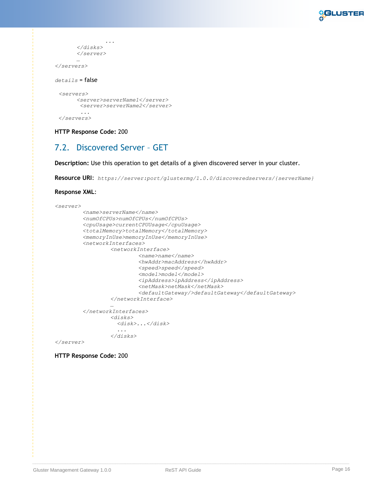

```
 ...
      </disks>
      </server>
      …
</servers>
details = false
 <servers> 
      <server>serverName1</server>
       <server>serverName2</server>
       ...
 </servers>
```
### **HTTP Response Code:** 200

## <span id="page-15-0"></span>7.2. Discovered Server – GET

**Description:** Use this operation to get details of a given discovered server in your cluster.

**Resource URI**: *https://server:port/glustermg/1.0.0/discoveredservers/{serverName}*

### **Response XML**:

```
<server>
        <name>serverName</name>
        <numOfCPUs>numOfCPUs</numOfCPUs>
        <cpuUsage>currentCPUUsage</cpuUsage>
        <totalMemory>totalMemory</totalMemory>
        <memoryInUse>memoryInUse</memoryInUse>
        <networkInterfaces>
                 <networkInterface>
                          <name>name</name>
                          <hwAddr>macAddress</hwAddr>
                          <speed>speed</speed>
                          <model>model</model>
                          <ipAddress>ipAddress</ipAddress>
                          <netMask>netMask</netMask>
                          <defaultGateway/>defaultGateway</defaultGateway>
                 </networkInterface>
                 …
        </networkInterfaces>
                 <disks>
                    <disk>...</disk>
                    ...
                 </disks>
```
<span id="page-15-1"></span>*</server>*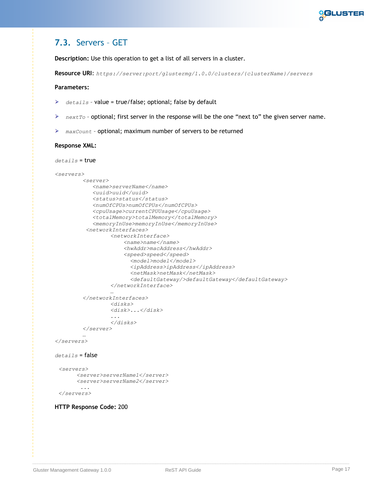

# <span id="page-16-0"></span>**7.3.** Servers – GET

**Description:** Use this operation to get a list of all servers in a cluster.

**Resource URI**: *https://server:port/glustermg/1.0.0/clusters/{clusterName}/servers*

### **Parameters:**

- ➤ *details* – value = true/false; optional; false by default
- *nextTo* optional; first server in the response will be the one "next to" the given server name. ➤
- *maxCount* optional; maximum number of servers to be returned

#### **Response XML:**

```
details = true
```

```
<servers> 
         <server>
             <name>serverName</name>
             <uuid>uuid</uuid> 
             <status>status</status>
             <numOfCPUs>numOfCPUs</numOfCPUs>
             <cpuUsage>currentCPUUsage</cpuUsage> 
             <totalMemory>totalMemory</totalMemory> 
             <memoryInUse>memoryInUse</memoryInUse> 
          <networkInterfaces>
                  <networkInterface> 
                       <name>name</name>
                       <hwAddr>macAddress</hwAddr> 
                       <speed>speed</speed> 
                         <model>model</model> 
                         <ipAddress>ipAddress</ipAddress> 
                         <netMask>netMask</netMask>
                         <defaultGateway/>defaultGateway</defaultGateway> 
                  </networkInterface>
                  …
         </networkInterfaces> 
                  <disks>
                  <disk>...</disk>
                  ...
                  </disks>
         </server>
         …
</servers>
details = false
```

```
<servers> 
     <server>serverName1</server>
     <server>serverName2</server>
      ...
</servers>
```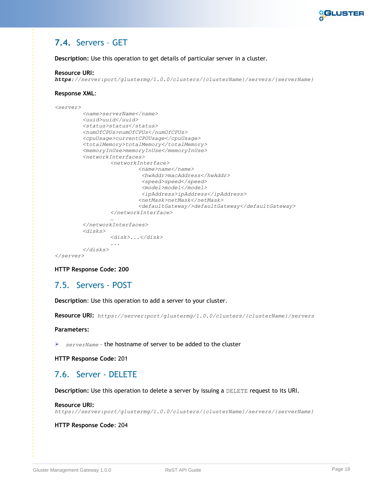

# <span id="page-17-0"></span>**7.4.** Servers – GET

**Description:** Use this operation to get details of particular server in a cluster.

### **Resource URI:**

*https://server:port/glustermg/1.0.0/clusters/{clusterName}/servers/{serverName}*

### **Response XML**:

```
<server>
        <name>serverName</name>
        <uuid>uuid</uuid> 
        <status>status</status>
        <numOfCPUs>numOfCPUs</numOfCPUs>
        <cpuUsage>currentCPUUsage</cpuUsage> 
        <totalMemory>totalMemory</totalMemory> 
        <memoryInUse>memoryInUse</memoryInUse> 
        <networkInterfaces>
                 <networkInterface> 
                          <name>name</name>
                           <hwAddr>macAddress</hwAddr> 
                           <speed>speed</speed> 
                           <model>model</model> 
                           <ipAddress>ipAddress</ipAddress> 
                          <netMask>netMask</netMask>
                          <defaultGateway/>defaultGateway</defaultGateway> 
                 </networkInterface>
                 …
         </networkInterfaces> 
         <disks>
                 <disk>...</disk>
                  ...
        </disks>
</server>
```
**HTTP Response Code: 200**

## <span id="page-17-1"></span>7.5. Servers - POST

**Description**: Use this operation to add a server to your cluster.

**Resource URI:** *https://server:port/glustermg/1.0.0/clusters/{clusterName}/servers*

### **Parameters:**

*serverName* – the hostname of server to be added to the cluster

**HTTP Response Code:** 201

### <span id="page-17-2"></span>7.6. Server - DELETE

**Description:** Use this operation to delete a server by issuing a DELETE request to its URI.

### **Resource URI:**

*https://server:port/glustermg/1.0.0/clusters/{clusterName}/servers/{serverName}*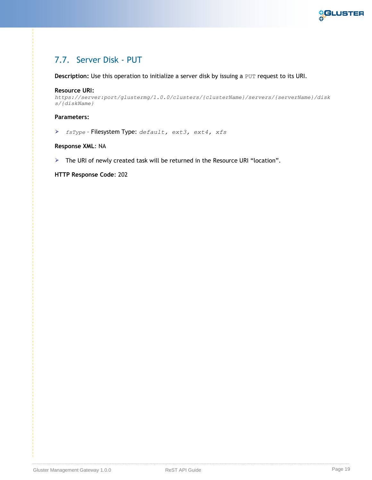

# <span id="page-18-1"></span><span id="page-18-0"></span>7.7. Server Disk - PUT

**Description:** Use this operation to initialize a server disk by issuing a PUT request to its URI.

### **Resource URI:**

*https://server:port/glustermg/1.0.0/clusters/{clusterName}/servers/{serverName}/disk s/{diskName}*

### **Parameters:**

*fsType* – Filesystem Type: *default, ext3, ext4, xfs*

### **Response XML**: NA

<span id="page-18-2"></span>> The URI of newly created task will be returned in the Resource URI "location".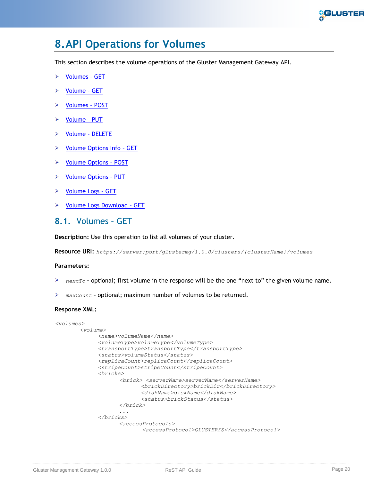

# <span id="page-19-0"></span>**8.API Operations for Volumes**

This section describes the volume operations of the Gluster Management Gateway API.

- ➤ [Volumes](#page-19-1) – GET
- ➤ [Volume](#page-20-0) – GET
- [Volumes](#page-20-1)  POST ⋗
- [Volume](#page-21-1)  PUT ⋗
- [Volume -](#page-22-0) DELETE ⋗
- [Volume Options Info](#page-22-1)  GET
- [Volume Options](#page-22-2)  POST  $\blacktriangleright$
- [Volume Options](#page-23-1)  PUT
- $\triangleright$  [Volume Logs](#page-23-2)  GET
- > [Volume Logs Download](#page-24-0)  GET

### <span id="page-19-1"></span>**8.1.** Volumes – GET

**Description:** Use this operation to list all volumes of your cluster.

**Resource URI:** *https://server:port/glustermg/1.0.0/clusters/{clusterName}/volumes*

### **Parameters:**

- *nextTo* **–** optional; first volume in the response will be the one "next to" the given volume name.
- *maxCount* **–** optional; maximum number of volumes to be returned.

### **Response XML:**

```
<volumes>
       <volume>
             <name>volumeName</name>
             <volumeType>volumeType</volumeType> 
             <transportType>transportType</transportType> 
             <status>volumeStatus</status> 
             <replicaCount>replicaCount</replicaCount> 
             <stripeCount>stripeCount</stripeCount> 
             <bricks>
                    <brick> <serverName>serverName</serverName> 
                           <brickDirectory>brickDir</brickDirectory> 
                           <diskName>diskName</diskName> 
                           <status>brickStatus</status>
                    </brick>
                    ...
             </bricks> 
                    <accessProtocols>
                           <accessProtocol>GLUSTERFS</accessProtocol>
```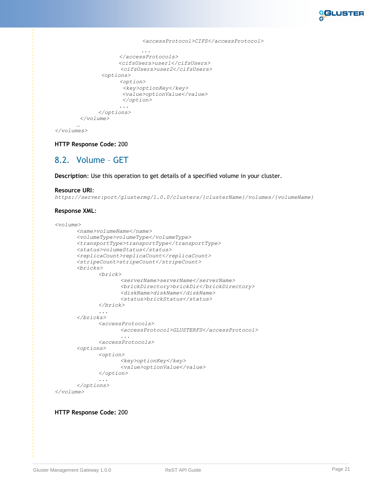

```
<accessProtocol>CIFS</accessProtocol>
                           ...
                    </accessProtocols>
                    <cifsUsers>user1</cifsUsers>
                    <cifsUsers>user2</cifsUsers>
              <options>
                    <option>
                     <key>optionKey</key>
                     <value>optionValue</value>
                     </option>
                     ...
             </options>
        </volume>
       …
</volumes>
```
**HTTP Response Code:** 200

## <span id="page-20-0"></span>8.2. Volume – GET

**Description**: Use this operation to get details of a specified volume in your cluster.

#### **Resource URI**:

*https://server:port/glustermg/1.0.0/clusters/{clusterName}/volumes/{volumeName}*

### **Response XML**:

```
<volume>
      <name>volumeName</name>
      <volumeType>volumeType</volumeType>
      <transportType>transportType</transportType>
      <status>volumeStatus</status>
      <replicaCount>replicaCount</replicaCount>
      <stripeCount>stripeCount</stripeCount>
      <bricks>
             <brick>
                    <serverName>serverName</serverName>
                    <brickDirectory>brickDir</brickDirectory>
                    <diskName>diskName</diskName>
                    <status>brickStatus</status>
             </brick>
             ...
      </bricks>
             <accessProtocols>
                    <accessProtocol>GLUSTERFS</accessProtocol>
                    ...
             <accessProtocols>
      <options>
             <option>
                    <key>optionKey</key>
                    <value>optionValue</value>
             </option>
             ...
      </options>
</volume>
```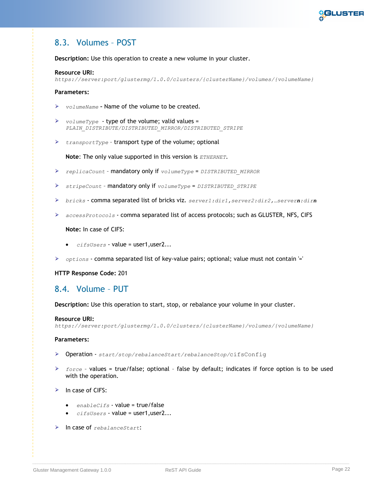

# <span id="page-21-0"></span>8.3. Volumes – POST

**Description:** Use this operation to create a new volume in your cluster.

### **Resource URI:**

*https://server:port/glustermg/1.0.0/clusters/{clusterName}/volumes/{volumeName}*

### **Parameters:**

- *volumeName* **–** Name of the volume to be created.
- *volumeType* type of the volume; valid values = *PLAIN\_DISTRIBUTE/DISTRIBUTED\_MIRROR/DISTRIBUTED\_STRIPE*
- *transportType* transport type of the volume; optional

**Note**: The only value supported in this version is *ETHERNET*.

- *replicaCount* mandatory only if *volumeType* = *DISTRIBUTED\_MIRROR*
- *stripeCount* mandatory only if *volumeType* = *DISTRIBUTED\_STRIPE*
- *bricks* comma separated list of bricks viz. *server1:dir1,server2:dir2,…servern:dirn*
- *accessProtocols* comma separated list of access protocols; such as GLUSTER, NFS, CIFS

### **Note:** In case of CIFS:

- *cifsUsers* value = user1,user2...
- *options* comma separated list of key-value pairs; optional; value must not contain '='

**HTTP Response Code:** 201

### <span id="page-21-1"></span>8.4. Volume – PUT

### **Description:** Use this operation to start, stop, or rebalance your volume in your cluster.

### **Resource URI:**

*https://server:port/glustermg/1.0.0/clusters/{clusterName}/volumes/{volumeName}*

### **Parameters:**

- Operation *start/stop/rebalanceStart/rebalanceStop/*cifsConfig
- *force* values = true/false; optional false by default; indicates if force option is to be used with the operation.
- $\triangleright$  In case of CIFS:
	- *enableCifs* value = true/false
	- $\bullet$  *cifsUsers* value = user1.user2...
- In case of *rebalanceStart*: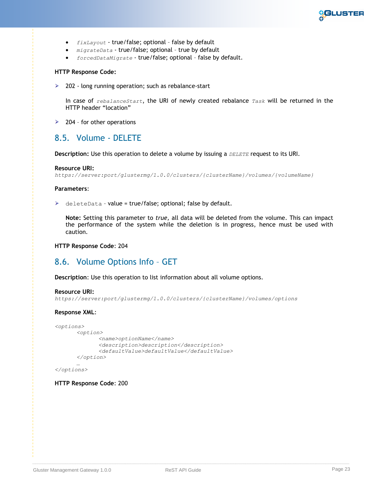

- *fixLayout* true/false; optional false by default
- *migrateData* true/false; optional true by default
- *forcedDataMigrate* true/false; optional false by default.

#### **HTTP Response Code:**

▶ 202 - long running operation; such as rebalance-start

In case of *rebalanceStart*, the URI of newly created rebalance *Task* will be returned in the HTTP header "location"

 $\geq$  204 - for other operations

### <span id="page-22-0"></span>8.5. Volume - DELETE

**Description:** Use this operation to delete a volume by issuing a *DELETE* request to its URI.

#### **Resource URI:**

```
https://server:port/glustermg/1.0.0/clusters/{clusterName}/volumes/{volumeName}
```
#### **Parameters**:

 $\triangleright$  deleteData - value = true/false; optional; false by default.

**Note:** Setting this parameter to *true,* all data will be deleted from the volume. This can impact the performance of the system while the deletion is in progress, hence must be used with caution.

**HTTP Response Code**: 204

### <span id="page-22-1"></span>8.6. Volume Options Info – GET

**Description**: Use this operation to list information about all volume options.

#### **Resource URI:**

*https://server:port/glustermg/1.0.0/clusters/{clusterName}/volumes/options*

#### **Response XML**:

```
<options> 
       <option>
             <name>optionName</name>
             <description>description</description> 
             <defaultValue>defaultValue</defaultValue> 
       </option>
       …
```

```
</options>
```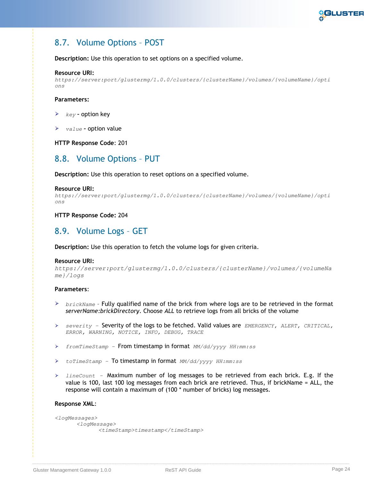

# <span id="page-23-0"></span>8.7. Volume Options – POST

**Description:** Use this operation to set options on a specified volume.

### **Resource URI:**

```
https://server:port/glustermg/1.0.0/clusters/{clusterName}/volumes/{volumeName}/opti
ons
```
### **Parameters:**

- *key* **–** option key
- *value* **–** option value

**HTTP Response Code**: 201

### <span id="page-23-1"></span>8.8. Volume Options – PUT

**Description:** Use this operation to reset options on a specified volume.

### **Resource URI:**

```
https://server:port/glustermg/1.0.0/clusters/{clusterName}/volumes/{volumeName}/opti
ons
```
### **HTTP Response Code:** 204

## <span id="page-23-2"></span>8.9. Volume Logs – GET

**Description:** Use this operation to fetch the volume logs for given criteria.

### **Resource URI:**

```
https://server:port/glustermg/1.0.0/clusters/{clusterName}/volumes/{volumeNa
me}/logs
```
### **Parameters**:

- *brickName* Fully qualified name of the brick from where logs are to be retrieved in the format *serverName:brickDirectory*. Choose *ALL* to retrieve logs from all bricks of the volume
- *severity –* Severity of the logs to be fetched. Valid values are *EMERGENCY, ALERT, CRITICAL, ERROR, WARNING, NOTICE, INFO, DEBUG, TRACE*
- *fromTimeStamp –* From timestamp in format *MM/dd/yyyy HH:mm:ss*  $\blacktriangleright$
- *toTimeStamp –* To timestamp in format *MM/dd/yyyy HH:mm:ss*
- *lineCount –* Maximum number of log messages to be retrieved from each brick. E.g. If the value is 100, last 100 log messages from each brick are retrieved. Thus, if brickName = ALL, the response will contain a maximum of (100 \* number of bricks) log messages.

### **Response XML**:

```
<logMessages>
      <logMessage>
             <timeStamp>timestamp</timeStamp>
```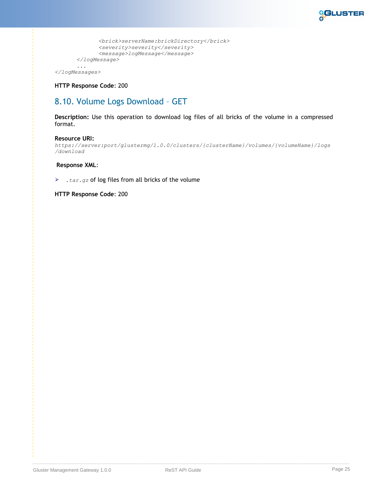

```
<brick>serverName:brickDirectory</brick>
      <severity>severity</severity>
      <message>logMessage</message>
</logMessage>
```
#### *... </logMessages>*

**HTTP Response Code**: 200

# <span id="page-24-0"></span>8.10. Volume Logs Download – GET

**Description:** Use this operation to download log files of all bricks of the volume in a compressed format.

### **Resource URI:**

*https://server:port/glustermg/1.0.0/clusters/{clusterName}/volumes/{volumeName}/logs /download*

### **Response XML**:

*.tar.gz* of log files from all bricks of the volume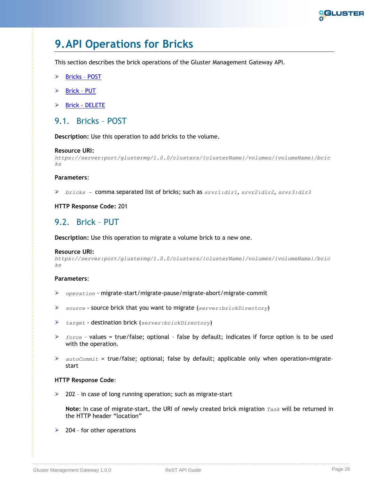

# <span id="page-25-0"></span>**9.API Operations for Bricks**

This section describes the brick operations of the Gluster Management Gateway API.

- ➤ [Bricks](#page-25-1) – POST
- ⋗ [Brick](#page-25-2) – PUT
- Brick [DELETE](#page-26-0)  $\blacktriangleright$

### <span id="page-25-1"></span>9.1. Bricks – POST

**Description:** Use this operation to add bricks to the volume.

#### **Resource URI:**

```
https://server:port/glustermg/1.0.0/clusters/{clusterName}/volumes/{volumeName}/bric
ks
```
### **Parameters**:

*bricks -* comma separated list of bricks; such as *srvr1:dir1*, *srvr2:dir2*, *srvr3:dir3*

### **HTTP Response Code:** 201

### <span id="page-25-2"></span>9.2. Brick – PUT

**Description:** Use this operation to migrate a volume brick to a new one.

#### **Resource URI:**

```
https://server:port/glustermg/1.0.0/clusters/{clusterName}/volumes/{volumeName}/bric
ks
```
### **Parameters**:

- *operation* migrate-start/migrate-pause/migrate-abort/migrate-commit
- *source* source brick that you want to migrate (*server:brickDirectory*)
- *target* destination brick (*server:brickDirectory*)
- *force* values = true/false; optional false by default; indicates if force option is to be used with the operation.
- *autoCommit* = true/false; optional; false by default; applicable only when operation=migrate– start

### **HTTP Response Code**:

 $\geq$  202 - in case of long running operation; such as migrate-start

**Note:** In case of migrate-start, the URI of newly created brick migration *Task* will be returned in the HTTP header "location"

 $\geq$  204 - for other operations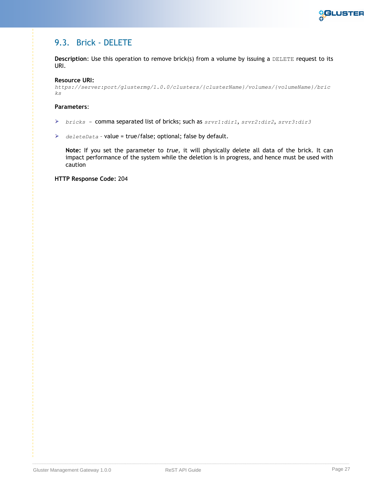

# <span id="page-26-0"></span>9.3. Brick - DELETE

**Description**: Use this operation to remove brick(s) from a volume by issuing a DELETE request to its URI.

### **Resource URI:**

*https://server:port/glustermg/1.0.0/clusters/{clusterName}/volumes/{volumeName}/bric ks*

### **Parameters**:

- *bricks -* comma separated list of bricks; such as *srvr1:dir1*, *srvr2:dir2*, *srvr3:dir3*
- *deleteData* value = true/false; optional; false by default.

**Note:** If you set the parameter to *true,* it will physically delete all data of the brick. It can impact performance of the system while the deletion is in progress, and hence must be used with caution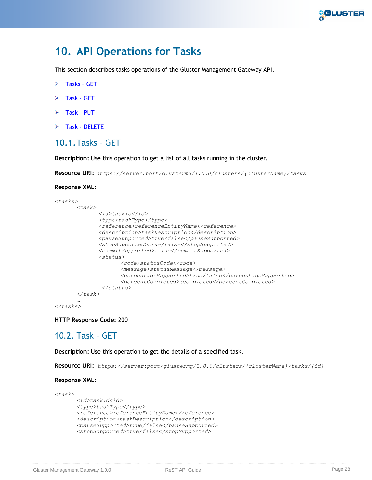

# <span id="page-27-0"></span>**10. API Operations for Tasks**

This section describes tasks operations of the Gluster Management Gateway API.

- [Tasks](#page-27-1)  GET ➤
- [Task](#page-27-2)  GET ⋗
- $\blacktriangleright$ [Task](#page-28-0) – PUT
- Task [DELETE](#page-28-1) ⋗

### <span id="page-27-1"></span>**10.1.**Tasks – GET

**Description:** Use this operation to get a list of all tasks running in the cluster.

**Resource URI:** *https://server:port/glustermg/1.0.0/clusters/{clusterName}/tasks*

**Response XML:**

```
<tasks> 
      <task>
              <id>taskId</id> 
             <type>taskType</type>
             <reference>referenceEntityName</reference> 
             <description>taskDescription</description> 
             <pauseSupported>true/false</pauseSupported>
             <stopSupported>true/false</stopSupported>
             <commitSupported>false</commitSupported>
             <status> 
                    <code>statusCode</code>
                    <message>statusMessage</message>
                    <percentageSupported>true/false</percentageSupported>
                    <percentCompleted>%completed</percentCompleted>
               </status> 
      </task>
       …
```

```
</tasks>
```
**HTTP Response Code:** 200

### <span id="page-27-2"></span>10.2. Task – GET

**Description:** Use this operation to get the details of a specified task.

**Resource URI:** *https://server:port/glustermg/1.0.0/clusters/{clusterName}/tasks/{id}*

### **Response XML**:

```
<task>
      <id>taskId<id>
      <type>taskType</type> 
      <reference>referenceEntityName</reference> 
      <description>taskDescription</description>
      <pauseSupported>true/false</pauseSupported>
      <stopSupported>true/false</stopSupported>
```